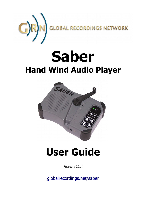

# **Saber Hand Wind Audio Player**



# **User Guide**

February 2014

[globalrecordings.net/saber](http://globalrecordings.net/saber)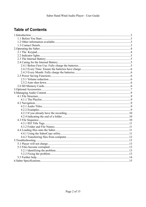# **Table of Contents**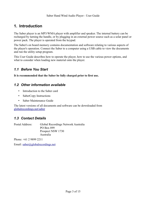# **1. Introduction**

The Saber player is an MP3/WMA player with amplifier and speaker. The internal battery can be recharged by turning the handle, or by plugging in an external power source such as a solar panel or power pack. The player is operated from the keypad.

The Saber's on board memory contains documentation and software relating to various aspects of the player's operation. Connect the Saber to a computer using a USB cable to view the documents and run the utility setup program.

This User Guide describes how to operate the player, how to use the various power options, and what to consider when loading new material onto the player.

# *1.1 Before You Start*

**It is recommended that the Saber be fully charged prior to first use.**

## *1.2 Other information available*

- Introduction to the Saber card
- SaberCopy Instructions
- Saber Maintenance Guide

The latest versions of all documents and software can be downloaded from [globalrecordings.net/saber](http://globalrecordings.net/saber)

## *1.3 Contact Details*

Postal Address: Global Recordings Network Australia PO Box 899 Prospect NSW 1730 Australia

Phone: +61 2 9899 2211

Email: [saber@globalrecordings.net](mailto:saber@globalrecordings.net)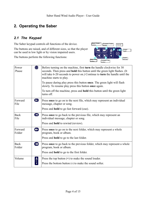# **2. Operating the Saber**

# *2.1 The Keypad*

The Saber keypad controls all functions of the device.

The buttons are raised, and of different sizes, so that the player can be used in low light or by vision impaired users.

The buttons perform the following functions:



| $\bigcirc$            | Before turning on the machine, first turn the handle clockwise for 30<br>seconds. Then press and hold this button until the green light flashes. (It<br>will take 6-20 seconds to power on.) Continue to turn the handle until the<br>machine starts to play. |
|-----------------------|---------------------------------------------------------------------------------------------------------------------------------------------------------------------------------------------------------------------------------------------------------------|
|                       | To pause during play press this button once. The green light will flash<br>slowly. To resume play press this button once again.                                                                                                                               |
|                       | To turn off the machine, press and <b>hold</b> this button until the green light<br>turns off.                                                                                                                                                                |
| $\blacksquare$        | Press once to go on to the next file, which may represent an individual<br>message, chapter or song.                                                                                                                                                          |
|                       | Press and <b>hold</b> to go fast forward (cue).                                                                                                                                                                                                               |
| $\mathbf \Omega$      | Press once to go back to the previous file, which may represent an<br>individual message, chapter or song.                                                                                                                                                    |
|                       | Press and <b>hold</b> to rewind (review).                                                                                                                                                                                                                     |
| $\mathbf{D}$          | Press once to go on to the next folder, which may represent a whole<br>program, book or album.                                                                                                                                                                |
|                       | Press and <b>hold</b> to go to the last folder.                                                                                                                                                                                                               |
| $\boldsymbol{\omega}$ | Press once to go back to the previous folder, which may represent a whole<br>program, book or album.                                                                                                                                                          |
|                       | Press and <b>hold</b> to go to the first folder.                                                                                                                                                                                                              |
| a<br>K                | Press the top button $(+)$ to make the sound louder.<br>Press the bottom button (-) to make the sound softer.                                                                                                                                                 |
|                       |                                                                                                                                                                                                                                                               |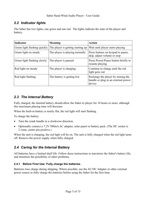# *2.2 Indicator lights*

The Saber has two lights, one green and one red. The lights indicate the state of the player and battery.

| <b>Indicator</b>             | <b>Meaning</b>                    | <b>Action</b>                                                                       |
|------------------------------|-----------------------------------|-------------------------------------------------------------------------------------|
| Green light flashing quickly | The player is getting starting up | Wait until player starts playing                                                    |
| Green light on steady        | The player is playing normally    | Press buttons on keypad to pause,<br>skip, adjust volume or stop                    |
| Green light flashing slowly  | The player is paused              | Press Power/Pause button briefly to<br>resume playing                               |
| Red light on steady          | The player is charging            | Continue to charge until the red<br>light goes out                                  |
| Red light flashing           | The battery is getting low        | Recharge the player by turning the<br>handle or plug in an external power<br>device |

## *2.3 The Internal Battery*

Fully charged, the internal battery should allow the Saber to player for 10 hours or more, although this maximum playing time will decrease

When the built-in battery is nearly flat, the red light will start flashing.

To charge the battery

- Turn the crank handle in a clockwise direction.
- Optionally connect a 7.2V 500mA AC adapter, solar panel or battery pack. (The DC socket is 2.1mm, centre pin positive.)

When the unit is charging, the red light will be on. The unit is fully charged when the red light turns off. Remove the power supply when fully charged.

# *2.4 Caring for the Internal Battery*

All batteries have a limited shelf life. Follow these instructions to maximize the Saber's battery life, and minimize the possibility of other problems.

#### **2.4.1 Before First Use: Fully charge the batteries**

Batteries lose charge during shipping. Where possible, use the AC/DC Adapter or other external power source to fully charge the batteries before using the Saber for the first time.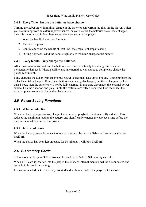#### **2.4.2 Every Time: Ensure the batteries have charge**

Turning the Saber on with minimal charge in the batteries can corrupt the files on the player. Unless you are running from an external power source, or you are sure the batteries are already charged, then it is important to follow these steps whenever you use the player:

- 1. Wind the handle for at least 1 minute
- 2. Turn on the player
- 3. Continue to wind the handle at least until the green light stops flashing
- 4. During playback, wind the handle regularly to maintain charge to the battery

#### **2.4.3 Every Month: Fully charge the batteries**

After three months without use, the batteries can reach a critically low charge and may be permanently damaged. Where possible, use an external power source to completely charge the player each month.

Fully charging the Saber from an external power source may take up to 4 hours. (Charging from the Solar Panel takes longer). If the Saber batteries are nearly discharged, but the recharge takes less than 1 hour, then the batteries will not be fully charged. In this case disconnect the external power source, turn the Saber on and play it until the batteries are fully discharged, then reconnect the external power source to charge the player again.

## *2.5 Power Saving Functions*

#### **2.5.1 Volume reduction**

When the battery begins to lose charge, the volume of playback is automatically reduced. This reduces the maximum load on the battery, and significantly extends the playback time before the machine shuts down due to low power.

#### **2.5.2 Auto shut down**

When the battery power becomes too low to continue playing, the Saber will automatically turn itself off.

When the player has been left on pause for 30 minutes it will turn itself off.

# *2.6 SD Memory Cards*

SD memory cards up to 2GB in size can be used in the Saber's SD memory card slot.

When a SD card is inserted into the player, the onboard internal memory will be disconnected and not able to be used for playing.

It is recommended that SD are only inserted and withdrawn when the player is turned off.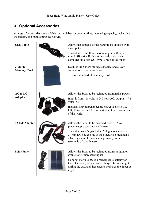# **3. Optional Accessories**

A range of accessories are available for the Saber for copying files, increasing capacity, recharging the battery, and maintaining the players.

| <b>USB Cable</b>                  | Allows the contents of the Saber to be updated from<br>a computer.<br>The cable is $1m(40$ inches) in length, with 5 pin<br>mini USB series B plug at one end, and standard<br>computer style flat USB type A plug at the other.                                                   |
|-----------------------------------|------------------------------------------------------------------------------------------------------------------------------------------------------------------------------------------------------------------------------------------------------------------------------------|
| 2GB SD<br><b>Memory Card</b>      | Doubles the Saber's storage capacity, and allows<br>content to be easily exchanged.<br>This is a standard SD memory card.                                                                                                                                                          |
| <b>AC</b> to DC<br><b>Adapter</b> | Allows the Saber to be recharged from mains power.<br>Input is from 110 volts to 240 volts AC. Output is 7.2<br>volts DC.<br>Includes four interchangeable power sockets (US,<br>UK, European and Australian) to suit most countries<br>of the world.                              |
| 12 Volt Adapter                   | Allows the Saber to be powered from a 12 volt<br>power supply such as a car battery.<br>The cable has a "cigar lighter" plug at one end and<br>2.1mm DC power plug at the other. Also included is<br>a battery clamp for connecting directly to the<br>terminals of a car battery. |
| <b>Solar Panel</b>                | Allows the Saber to be recharged from sunlight, or<br>even strong fluorescent lights.<br>Coming later in 2009 is a rechargeable battery for<br>the solar panel, which can be charged from sunlight<br>during the day, and then used to recharge the Saber at<br>night.             |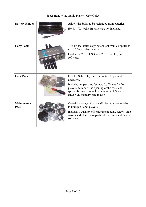| Saber Hand Wind Audio Player - User Guide |  |  |
|-------------------------------------------|--|--|
|-------------------------------------------|--|--|

| <b>Battery Holder</b>      | Allows the Saber to be recharged from batteries.<br>Holds 4 "D" cells. Batteries are not included.                                                                                                                                                      |
|----------------------------|---------------------------------------------------------------------------------------------------------------------------------------------------------------------------------------------------------------------------------------------------------|
| <b>Copy Pack</b>           | This kit facilitates copying content from computer to<br>up to 7 Saber players at once.<br>Contains a 7 port USB hub, 7 USB cables, and<br>software.                                                                                                    |
| <b>Lock Pack</b>           | Enables Saber players to be locked to prevent<br>alteration.<br>Includes tamper-proof screws (sufficient for 50)<br>players) to hinder the opening of the case, and<br>special firmware to lock access to the USB port<br>and/or SD memory card reader. |
| <b>Maintenance</b><br>Pack | Contains a range of parts sufficient to make repairs<br>to multiple Saber players.<br>Includes a quantity of replacement belts, screws, side<br>covers and other spare parts, plus documentation and<br>software.                                       |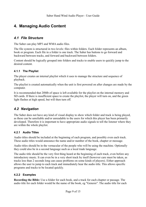# **4. Managing Audio Content**

## *4.1 File Structure*

The Saber can play MP3 and WMA audio files.

The file system is structured in two levels: files within folders. Each folder represents an album, book or program. Each file in a folder is one track. The Saber has buttons to go forward and backward between tracks, and forward and backward between folders.

Content should be logically grouped into folders and tracks to enable users to quickly jump to the desired content.

#### **4.1.1 The Playlist**

The player creates an internal playlist which it uses to manage the structure and sequence of playback.

The playlist is created automatically when the unit is first powered on after changes are made by the computer.

It is recommended that 20Mb of space is left available for the playlist on the internal memory and SD cards. If there is insufficient space to create the playlist, the player will turn on, and the green light flashes at high speed, but will then turn off.

# *4.2 Navigation*

The Saber does not have any kind of visual display to show which folder and track is being played, as these can be unreliable and/or unreadable to the users for which this player has been primarily developed. Therefore it is important to have appropriate audio signals to tell the listener where they are within the whole playlist.

#### **4.2.1 Audio Titles**

Audio titles should be included at the beginning of each program, and possibly even each track. These audio titles would announce the name and/or number of the book, chapter or message.

Audio titles should be in the vernacular of the people who will be using the machine. Optionally they could also be in a second language such as a local trade language.

The audio title should be the very first thing heard at the beginning of each track, even before any introductory music. It can even be in a very short track by itself (however care must be taken, as tracks less than 2 seconds long can cause problems on some kinds of players). Either approach allows the user to jump to each track and immediately hear the audio title. This allows specific programs and tracks to be located quickly.

#### **4.2.2 Examples**

**Recording the Bible:** Use a folder for each book, and a track for each chapter or passage. The audio title for each folder would be the name of the book, eg "Genesis". The audio title for each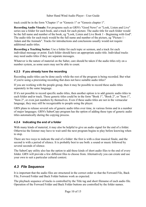track could be in the form "Chapter 1" or "Genesis 1" or "Genesis chapter 1".

**Recording Audio Visuals:** For programs such as GRN's "Good News" or "Look, Listen and Live" series use a folder for each book, and a track for each picture. The audio title for each folder would be the full name and number of the book, eg "Look, Listen and Live Book 1 - Beginning with God". The audio title for each track would be the full name and number of the picture, eg "Picture 1 - Adam and the Animals". Tracks for introductions and conclusions usually would not require additional audio titles.

**Recording a Teaching Series:** Use a folder for each topic or sermon, and a track for each individual message or point. Each folder should have an appropriate audio title. Individual tracks may need audio titles if they are separate messages.

Whatever is the nature of material on the Saber, care should be taken if the audio titles rely on a number system, as some users may not be able to count.

#### **4.2.3 If you already have the recording**

Recording audio titles can be done easily while the rest of the program is being recorded. But what if you're using a preexisting recording that does not have suitable audio titles?

If you are working with the people group, then it may be possible to record these audio titles separately in the same language.

If it's not possible to record specific audio titles, then another option is to add generic audio titles to each folder and/or track. These generic titles could be in the form "Book 1", "Book 2", or "Item 1", "Item 2", or even just numbers by themselves. Even if these audio titles are not in the vernacular language, they may still be recognizable to people using the player.

GRN plans to release several sets of generic audio titles over time, in various forms and in a number of major languages. GRN's SaberCopy program has the option of adding these type of generic audio titles automatically during the copying process.

#### **4.2.4 Indicating the end of a folder**

With many kinds of material, it may also be helpful to give an audio signal for the end of a folder. Otherwise the listener may have to wait until the next program begins to play before knowing when to stop.

There are two ways to indicate the end of a folder: the first is with a clear musical finale, and the second is with a period of silence. It is probably best to use both: a sound or music followed by several seconds of silence.

The SaberCopy utility also has the option to add these kinds of short audio files to the end of every folder. GRN will provide a few different files to choose from. Alternatively you can create and use your own to suit a particular cultural context.

### *4.3 File Sequence*

It is important that the audio files are structured in the correct order so that the Forward File, Back File, Forward Folder and Back Folder buttons work as expected.

The playback sequence of tracks is controlled by the Title tag and short filename of each audio file. Operation of the Forward Folder and Back Folder buttons are controlled by the folder names.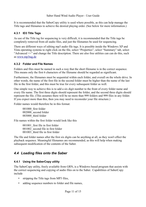It is recommended that the SaberCopy utility is used where possible, as this can help manage the Title tags and filenames to achieve the desired playing order. (See below for more information.)

#### **4.3.1 ID3 Title Tags**

As use of the Title tag for sequencing is very difficult, it is recommended that the Title tags be completely removed from all audio files, and just the filenames be used for sequencing.

There are different ways of editing mp3 audio file tags. It is possible inside the Windows XP and Vista operating systems to right click on the file, select "Properties", select "Summary" tab, select "Advanced >>" and change the Title description. There are also free utilities can can do this, such as [www.mp3tag.de](http://www.mp3tag.de/)

#### **4.3.2 Folder and File Names**

Folders and files must be named in such a way that the short filename is in the correct sequence. This means only the first 6 characters of the filename should be regarded as significant.

Furthermore, the filenames must be sequential within each folder, and overall on the whole drive. In other words, the name of the first file in the second folder must be higher than the name of the last file in the first folder, and this must be true for every subsequent folder as well.

One simple way to achieve this is to add a six digit number to the front of every folder name and every file name. The first three digits should represent the folder, and the second three digits should represent the file. (This assumes there will be no more than 999 folders and 999 files in any folder. If you expect more than this, then you may need to reconsider your file structure.)

Folder names would therefore be in this format:

001000\_first folder 002000\_second folder 003000\_third folder

File names within the first folder would look like this

001001\_first file in first folder 001002\_second file in first folder 001003 third file in first folder

The file and folder names after the first six digits can be anything at all, as they won't effect the playback sequence. Meaningful filenames are recommended, as this will help when making subsequent modification of the contents of the Saber.

# *4.4 Loading files onto the Saber*

#### **4.4.1 Using the SaberCopy utility**

The SaberCopy utility, freely available from GRN, is a Windows based program that assists with the correct sequencing and copying of audio files on to the Saber. Capabilities of SaberCopy include

- stripping the Title tags from MP3 files,
- adding sequence numbers to folder and file names,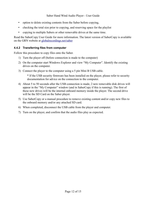- option to delete existing contents from the Saber before copying,
- checking the total size prior to copying, and reserving space for the playlist
- copying to multiple Sabers or other removable drives at the same time.

Read the SaberCopy User Guide for more information. The latest version of SaberCopy is available on the GRN website at [globalrecordings.net/saber](http://globalrecordings.net/Saber)

#### **4.4.2 Transferring files from computer**

Follow this procedure to copy files onto the Saber.

- 1) Turn the player off (before connection is made to the computer)
- 2) On the computer start Windows Explorer and view "My Computer". Identify the existing drives on the computer.
- 3) Connect the player to the computer using a 5 pin Mini B USB cable.

\* If the USB security firmware has been installed on the player, please refer to security documentation for advice on the connection to the computer.

- 4) About 5 to 50 seconds after the USB connection is made, 2 new removable disk drives will appear in the "My Computer" window (and in SaberCopy if this is running). The first of these new drives will be the internal onboard memory inside the player. The second drive will be the SD Card on the Saber player.
- 5) Use SaberCopy or a manual procedure to remove existing content and/or copy new files to the onboard memory and/or any attached SD card.
- 6) When completed, disconnect the USB cable from the player and computer.
- 7) Turn on the player, and confirm that the audio files play as expected.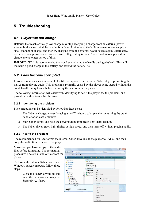# **5. Troubleshooting**

## *5.1 Player will not charge*

Batteries that reach critically low charge may stop accepting a charge from an external power source. In this case, wind the handle for at least 5 minutes so the built in generator can supply a small amount of charge, and then try charging from the external power source again. Alternately, use an external power source with a lower voltage rating (around  $5 - 5.5$  volts) to apply a slow charge over a longer period of time.

**IMPORTANT:** It is recommended that you keep winding the handle during playback. This will maintain a good charge in the battery, and extend the battery life.

## *5.2 Files become corrupted*

In some circumstances it is possible for file corruption to occur on the Saber player, preventing the player from playing audio. This problem is primarily caused by the player being started without the crank handle being turned before or during the start of a Saber player.

The following information will assist with identifying to see if the player has the problem, and provide a method to resolve the issue.

#### **5.2.1 Identifying the problem**

File corruption can be identified by following these steps:

- 1. The Saber is charged correctly using an ACX adapter, solar panel or by turning the crank handle for at least 5 minutes.
- 2. Start Saber. (press and hold the power button until green light starts flashing)
- 3. The Saber player green light flashes at high speed, and then turns off without playing audio.

#### **5.2.2 Fixing the problem**

The recommended fix is to format the internal Saber drive inside the player to FAT32, and then copy the audio files back on to the player.

Make sure you have a copy of the audio files before formatting. The formatting process will delete all audio files from the player.

To format the internal Saber drive on a Windows based computer, follow these steps:

1. Close the SaberCopy utility and any other window accessing the Saber drive, if any.

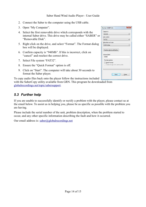- 2. Connect the Saber to the computer using the USB cable.
- 3. Open "My Computer".
- 4. Select the first removable drive which corresponds with the internal Saber drive. This drive may be called either "SABER" or "Removable Disk".
- 5. Right click on the drive, and select "Format". The Format dialog box will be displayed.
- 6. Confirm capacity is "948Mb". If this is incorrect, click on "cancel" and reselect the correct drive.
- 7. Select File system "FAT32".
- 8. Ensure the "Quick Format" option is off.
- 9. Click on "Start". The computer will take about 30 seconds to format the Saber player.

To copy audio files back onto the player follow the instructions included with the SaberCopy utility available from GRN. This program be downloaded from [globalrecordings.net/topic/sabersupport.](http://www.globalrecordings.net/topic/sabersupport)

## *5.3 Further help*

If you are unable to successfully identify or rectify a problem with the player, please contact us at the email below. To assist us in helping you, please be as specific as possible with the problem you are having.

Please include the serial number of the unit, problem description, when the problem started to occur, and any other specific information describing the fault and how it occurred.

Our email address is:  $saber@global recordings.net$ 

| Capacity:                      |                               |
|--------------------------------|-------------------------------|
| 948 MB                         |                               |
| File system                    |                               |
| <b>FAT32</b>                   |                               |
| Allocation unit size           |                               |
| 8192 bytes                     |                               |
| <b>SABER</b>                   | Restore device defaults       |
|                                |                               |
| Volume label<br>Format options |                               |
| Quick Format                   | Create an MS-DOS startup disk |
|                                |                               |
|                                |                               |
|                                |                               |